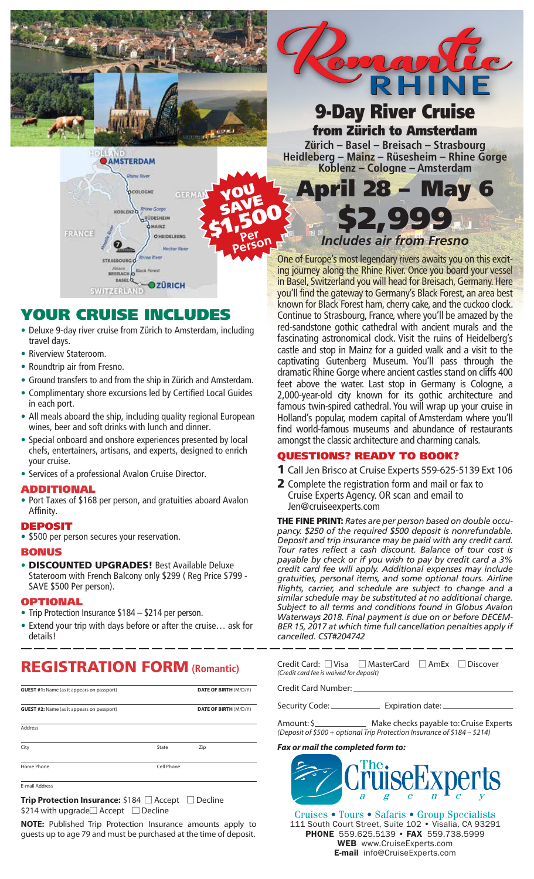

# 9-Day River Cruise from Zürich to Amsterdam

**Zürich – Basel – Breisach – Strasbourg Heidleberg – Mainz – Rüsesheim – Rhine Gorge Koblenz – Cologne – Amsterdam**

April 28 – May 6

#### YOU COLOGNI SAVE **\$1,500**<br>**Person Gorde BLEN2 QDESHEIM SHAINZ** FRANCE O HEIDELBERG BREISACH BASEL<sup>Q</sup> **OZÜRICH** SWITZERLAND

AMSTERDAM

# YOUR CRUISE INCLUDES

- Deluxe 9-day river cruise from Zürich to Amsterdam, including travel days.
- Riverview Stateroom.
- Roundtrip air from Fresno.
- Ground transfers to and from the ship in Zürich and Amsterdam.
- Complimentary shore excursions led by Certified Local Guides in each port.
- All meals aboard the ship, including quality regional European wines, beer and soft drinks with lunch and dinner.
- Special onboard and onshore experiences presented by local chefs, entertainers, artisans, and experts, designed to enrich your cruise.
- Services of a professional Avalon Cruise Director.

### ADDITIONAL

• Port Taxes of \$168 per person, and gratuities aboard Avalon Affinity.

### DEPOSIT

• \$500 per person secures your reservation.

### **BONUS**

• DISCOUNTED UPGRADES! Best Available Deluxe Stateroom with French Balcony only \$299 ( Reg Price \$799 - SAVE \$500 Per person).

### **OPTIONAL**

- Trip Protection Insurance \$184 \$214 per person.
- Extend your trip with days before or after the cruise… ask for details!

# REGISTRATION FORM **(Romantic)**

| <b>GUEST #1:</b> Name (as it appears on passport) |            | <b>DATE OF BIRTH (M/D/Y)</b> |  |
|---------------------------------------------------|------------|------------------------------|--|
| <b>GUEST #2:</b> Name (as it appears on passport) |            | <b>DATE OF BIRTH (M/D/Y)</b> |  |
| <b>Address</b>                                    |            |                              |  |
| City                                              | State      | Zip                          |  |
| Home Phone                                        | Cell Phone |                              |  |

E-mail Addres

**Trip Protection Insurance:** \$184 □ Accept □ Decline \$214 with upgrade $\Box$  Accept  $\Box$  Decline

**NOTE:** Published Trip Protection Insurance amounts apply to guests up to age 79 and must be purchased at the time of deposit.

\$2,999 *Includes air from Fresno*

One of Europe's most legendary rivers awaits you on this exciting journey along the Rhine River. Once you board your vessel in Basel, Switzerland you will head for Breisach, Germany. Here you'll find the gateway to Germany's Black Forest, an area best known for Black Forest ham, cherry cake, and the cuckoo clock. Continue to Strasbourg, France, where you'll be amazed by the red-sandstone gothic cathedral with ancient murals and the fascinating astronomical clock. Visit the ruins of Heidelberg's castle and stop in Mainz for a guided walk and a visit to the captivating Gutenberg Museum. You'll pass through the dramatic Rhine Gorge where ancient castles stand on cliffs 400 feet above the water. Last stop in Germany is Cologne, a 2,000-year-old city known for its gothic architecture and famous twin-spired cathedral. You will wrap up your cruise in Holland's popular, modern capital of Amsterdam where you'll find world-famous museums and abundance of restaurants amongst the classic architecture and charming canals.

### QUESTIONS? READY TO BOOK?

- 1 Call Jen Brisco at Cruise Experts 559-625-5139 Ext 106
- 2 Complete the registration form and mail or fax to Cruise Experts Agency. OR scan and email to Jen@cruiseexperts.com

THE FINE PRINT: *Rates are per person based on double occupancy. \$250 of the required \$500 deposit is nonrefundable. Deposit and trip insurance may be paid with any credit card. Tour rates reflect a cash discount. Balance of tour cost is payable by check or if you wish to pay by credit card a 3% credit card fee will apply. Additional expenses may include gratuities, personal items, and some optional tours. Airline flights, carrier, and schedule are subject to change and a similar schedule may be substituted at no additional charge. Subject to all terms and conditions found in Globus Avalon Waterways 2018. Final payment is due on or before DECEM-BER 15, 2017 at which time full cancellation penalties apply if cancelled. CST#204742*

| Credit Card: $\Box$ Visa $\Box$ MasterCard $\Box$ AmEx $\Box$ Discover |  |  |
|------------------------------------------------------------------------|--|--|
| (Credit card fee is waived for deposit)                                |  |  |

Credit Card Number:

Security Code: \_\_\_\_\_\_\_\_\_\_\_\_\_\_\_\_ Expiration date: \_

Amount: \$ *(Deposit of \$500 + optional Trip Protection Insurance of \$184 – \$214)*

### *Fax or mail the completed form to:*



Cruises • Tours • Safaris • Group Specialists 111 South Court Street, Suite 102 · Visalia, CA 93291 PHONE 559.625.5139 • FAX 559.738.5999 WEB www.CruiseExperts.com E-mail info@CruiseExperts.com